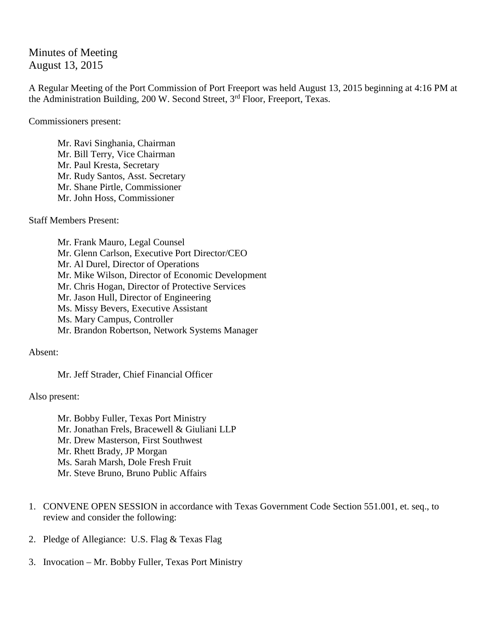## Minutes of Meeting August 13, 2015

A Regular Meeting of the Port Commission of Port Freeport was held August 13, 2015 beginning at 4:16 PM at the Administration Building, 200 W. Second Street, 3<sup>rd</sup> Floor, Freeport, Texas.

Commissioners present:

Mr. Ravi Singhania, Chairman Mr. Bill Terry, Vice Chairman Mr. Paul Kresta, Secretary Mr. Rudy Santos, Asst. Secretary Mr. Shane Pirtle, Commissioner Mr. John Hoss, Commissioner

Staff Members Present:

Mr. Frank Mauro, Legal Counsel Mr. Glenn Carlson, Executive Port Director/CEO Mr. Al Durel, Director of Operations Mr. Mike Wilson, Director of Economic Development Mr. Chris Hogan, Director of Protective Services Mr. Jason Hull, Director of Engineering Ms. Missy Bevers, Executive Assistant Ms. Mary Campus, Controller Mr. Brandon Robertson, Network Systems Manager

Absent:

Mr. Jeff Strader, Chief Financial Officer

Also present:

Mr. Bobby Fuller, Texas Port Ministry Mr. Jonathan Frels, Bracewell & Giuliani LLP Mr. Drew Masterson, First Southwest Mr. Rhett Brady, JP Morgan Ms. Sarah Marsh, Dole Fresh Fruit Mr. Steve Bruno, Bruno Public Affairs

- 1. CONVENE OPEN SESSION in accordance with Texas Government Code Section 551.001, et. seq., to review and consider the following:
- 2. Pledge of Allegiance: U.S. Flag & Texas Flag
- 3. Invocation Mr. Bobby Fuller, Texas Port Ministry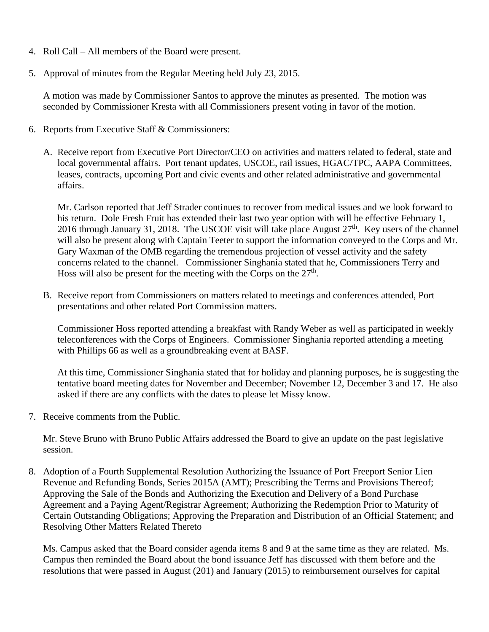- 4. Roll Call All members of the Board were present.
- 5. Approval of minutes from the Regular Meeting held July 23, 2015.

A motion was made by Commissioner Santos to approve the minutes as presented. The motion was seconded by Commissioner Kresta with all Commissioners present voting in favor of the motion.

- 6. Reports from Executive Staff & Commissioners:
	- A. Receive report from Executive Port Director/CEO on activities and matters related to federal, state and local governmental affairs. Port tenant updates, USCOE, rail issues, HGAC/TPC, AAPA Committees, leases, contracts, upcoming Port and civic events and other related administrative and governmental affairs.

Mr. Carlson reported that Jeff Strader continues to recover from medical issues and we look forward to his return. Dole Fresh Fruit has extended their last two year option with will be effective February 1, 2016 through January 31, 2018. The USCOE visit will take place August  $27<sup>th</sup>$ . Key users of the channel will also be present along with Captain Teeter to support the information conveved to the Corps and Mr. Gary Waxman of the OMB regarding the tremendous projection of vessel activity and the safety concerns related to the channel. Commissioner Singhania stated that he, Commissioners Terry and Hoss will also be present for the meeting with the Corps on the  $27<sup>th</sup>$ .

B. Receive report from Commissioners on matters related to meetings and conferences attended, Port presentations and other related Port Commission matters.

Commissioner Hoss reported attending a breakfast with Randy Weber as well as participated in weekly teleconferences with the Corps of Engineers. Commissioner Singhania reported attending a meeting with Phillips 66 as well as a groundbreaking event at BASF.

At this time, Commissioner Singhania stated that for holiday and planning purposes, he is suggesting the tentative board meeting dates for November and December; November 12, December 3 and 17. He also asked if there are any conflicts with the dates to please let Missy know.

7. Receive comments from the Public.

Mr. Steve Bruno with Bruno Public Affairs addressed the Board to give an update on the past legislative session.

8. Adoption of a Fourth Supplemental Resolution Authorizing the Issuance of Port Freeport Senior Lien Revenue and Refunding Bonds, Series 2015A (AMT); Prescribing the Terms and Provisions Thereof; Approving the Sale of the Bonds and Authorizing the Execution and Delivery of a Bond Purchase Agreement and a Paying Agent/Registrar Agreement; Authorizing the Redemption Prior to Maturity of Certain Outstanding Obligations; Approving the Preparation and Distribution of an Official Statement; and Resolving Other Matters Related Thereto

Ms. Campus asked that the Board consider agenda items 8 and 9 at the same time as they are related. Ms. Campus then reminded the Board about the bond issuance Jeff has discussed with them before and the resolutions that were passed in August (201) and January (2015) to reimbursement ourselves for capital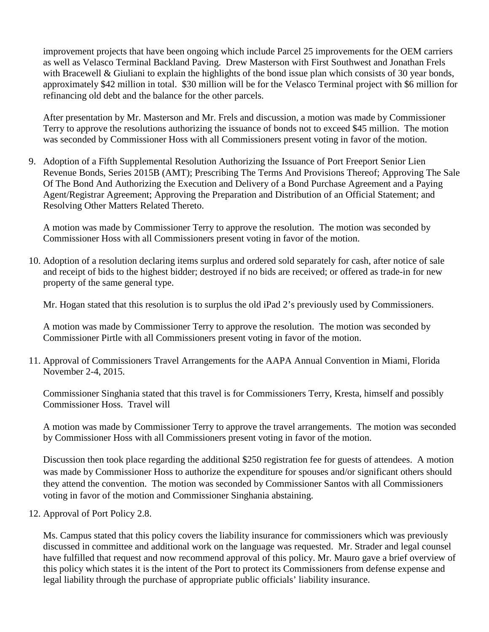improvement projects that have been ongoing which include Parcel 25 improvements for the OEM carriers as well as Velasco Terminal Backland Paving. Drew Masterson with First Southwest and Jonathan Frels with Bracewell & Giuliani to explain the highlights of the bond issue plan which consists of 30 year bonds, approximately \$42 million in total. \$30 million will be for the Velasco Terminal project with \$6 million for refinancing old debt and the balance for the other parcels.

After presentation by Mr. Masterson and Mr. Frels and discussion, a motion was made by Commissioner Terry to approve the resolutions authorizing the issuance of bonds not to exceed \$45 million. The motion was seconded by Commissioner Hoss with all Commissioners present voting in favor of the motion.

9. Adoption of a Fifth Supplemental Resolution Authorizing the Issuance of Port Freeport Senior Lien Revenue Bonds, Series 2015B (AMT); Prescribing The Terms And Provisions Thereof; Approving The Sale Of The Bond And Authorizing the Execution and Delivery of a Bond Purchase Agreement and a Paying Agent/Registrar Agreement; Approving the Preparation and Distribution of an Official Statement; and Resolving Other Matters Related Thereto.

A motion was made by Commissioner Terry to approve the resolution. The motion was seconded by Commissioner Hoss with all Commissioners present voting in favor of the motion.

10. Adoption of a resolution declaring items surplus and ordered sold separately for cash, after notice of sale and receipt of bids to the highest bidder; destroyed if no bids are received; or offered as trade-in for new property of the same general type.

Mr. Hogan stated that this resolution is to surplus the old iPad 2's previously used by Commissioners.

A motion was made by Commissioner Terry to approve the resolution. The motion was seconded by Commissioner Pirtle with all Commissioners present voting in favor of the motion.

11. Approval of Commissioners Travel Arrangements for the AAPA Annual Convention in Miami, Florida November 2-4, 2015.

Commissioner Singhania stated that this travel is for Commissioners Terry, Kresta, himself and possibly Commissioner Hoss. Travel will

A motion was made by Commissioner Terry to approve the travel arrangements. The motion was seconded by Commissioner Hoss with all Commissioners present voting in favor of the motion.

Discussion then took place regarding the additional \$250 registration fee for guests of attendees. A motion was made by Commissioner Hoss to authorize the expenditure for spouses and/or significant others should they attend the convention. The motion was seconded by Commissioner Santos with all Commissioners voting in favor of the motion and Commissioner Singhania abstaining.

12. Approval of Port Policy 2.8.

Ms. Campus stated that this policy covers the liability insurance for commissioners which was previously discussed in committee and additional work on the language was requested. Mr. Strader and legal counsel have fulfilled that request and now recommend approval of this policy. Mr. Mauro gave a brief overview of this policy which states it is the intent of the Port to protect its Commissioners from defense expense and legal liability through the purchase of appropriate public officials' liability insurance.